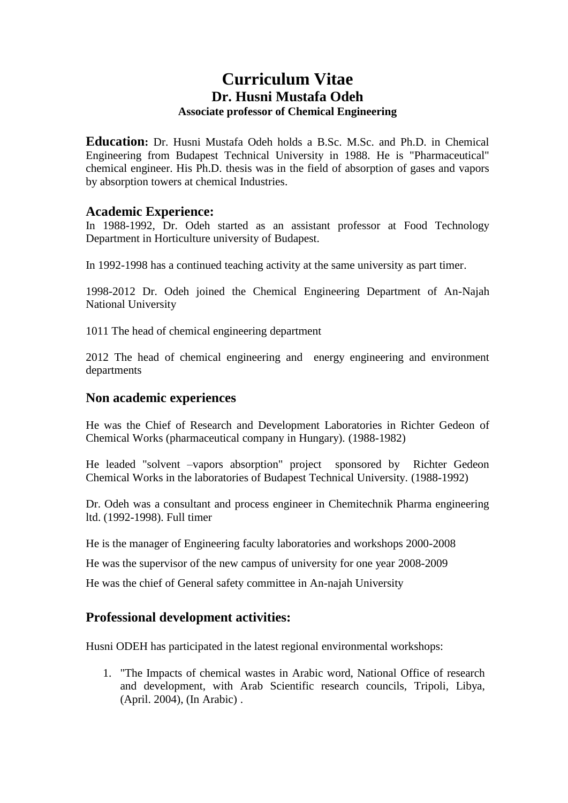# **Curriculum Vitae Dr. Husni Mustafa Odeh Associate professor of Chemical Engineering**

**Education:** Dr. Husni Mustafa Odeh holds a B.Sc. M.Sc. and Ph.D. in Chemical Engineering from Budapest Technical University in 1988. He is "Pharmaceutical" chemical engineer. His Ph.D. thesis was in the field of absorption of gases and vapors by absorption towers at chemical Industries.

## **Academic Experience:**

In 1988-1992, Dr. Odeh started as an assistant professor at Food Technology Department in Horticulture university of Budapest.

In 1992-1998 has a continued teaching activity at the same university as part timer.

1998-2012 Dr. Odeh joined the Chemical Engineering Department of An-Najah National University

1011 The head of chemical engineering department

2012 The head of chemical engineering and energy engineering and environment departments

#### **Non academic experiences**

He was the Chief of Research and Development Laboratories in Richter Gedeon of Chemical Works (pharmaceutical company in Hungary). (1988-1982)

He leaded "solvent –vapors absorption" project sponsored by Richter Gedeon Chemical Works in the laboratories of Budapest Technical University. (1988-1992)

Dr. Odeh was a consultant and process engineer in Chemitechnik Pharma engineering ltd. (1992-1998). Full timer

He is the manager of Engineering faculty laboratories and workshops 2000-2008

He was the supervisor of the new campus of university for one year 2008-2009

He was the chief of General safety committee in An-najah University

## **Professional development activities:**

Husni ODEH has participated in the latest regional environmental workshops:

1. "The Impacts of chemical wastes in Arabic word, National Office of research and development, with Arab Scientific research councils, Tripoli, Libya, (April. 2004), (In Arabic) .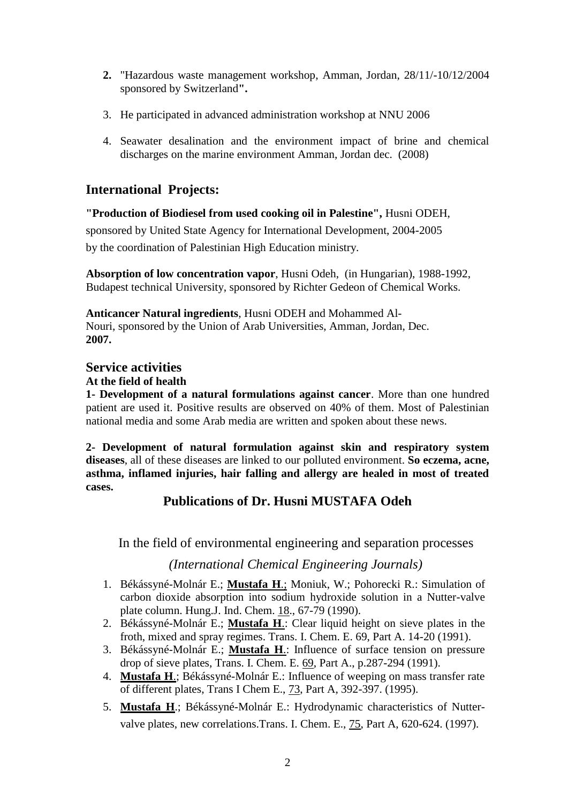- **2.** "Hazardous waste management workshop, Amman, Jordan, 28/11/-10/12/2004 sponsored by Switzerland**".**
- 3. He participated in advanced administration workshop at NNU 2006
- 4. Seawater desalination and the environment impact of brine and chemical discharges on the marine environment Amman, Jordan dec. (2008)

# **International Projects:**

## **"Production of Biodiesel from used cooking oil in Palestine",** Husni ODEH,

sponsored by United State Agency for International Development, 2004-2005 by the coordination of Palestinian High Education ministry.

**Absorption of low concentration vapor**, Husni Odeh, (in Hungarian), 1988-1992, Budapest technical University, sponsored by Richter Gedeon of Chemical Works.

**Anticancer Natural ingredients**, Husni ODEH and Mohammed Al-Nouri, sponsored by the Union of Arab Universities, Amman, Jordan, Dec. **2007.**

# **Service activities**

#### **At the field of health**

**1- Development of a natural formulations against cancer**. More than one hundred patient are used it. Positive results are observed on 40% of them. Most of Palestinian national media and some Arab media are written and spoken about these news.

**2- Development of natural formulation against skin and respiratory system diseases**, all of these diseases are linked to our polluted environment. **So eczema, acne, asthma, inflamed injuries, hair falling and allergy are healed in most of treated cases.** 

# **Publications of Dr. Husni MUSTAFA Odeh**

In the field of environmental engineering and separation processes

## *(International Chemical Engineering Journals)*

- 1. Békássyné-Molnár E.; **Mustafa H**.; Moniuk, W.; Pohorecki R.: Simulation of carbon dioxide absorption into sodium hydroxide solution in a Nutter-valve plate column. Hung.J. Ind. Chem. 18., 67-79 (1990).
- 2. Békássyné-Molnár E.; **Mustafa H**.: Clear liquid height on sieve plates in the froth, mixed and spray regimes. Trans. I. Chem. E. 69, Part A. 14-20 (1991).
- 3. Békássyné-Molnár E.; **Mustafa H**.: Influence of surface tension on pressure drop of sieve plates, Trans. I. Chem. E. 69, Part A., p.287-294 (1991).
- 4. **Mustafa H**.; Békássyné-Molnár E.: Influence of weeping on mass transfer rate of different plates, Trans I Chem E., 73, Part A, 392-397. (1995).
- 5. **Mustafa H**.; Békássyné-Molnár E.: Hydrodynamic characteristics of Nuttervalve plates, new correlations.Trans. I. Chem. E., 75, Part A, 620-624. (1997).